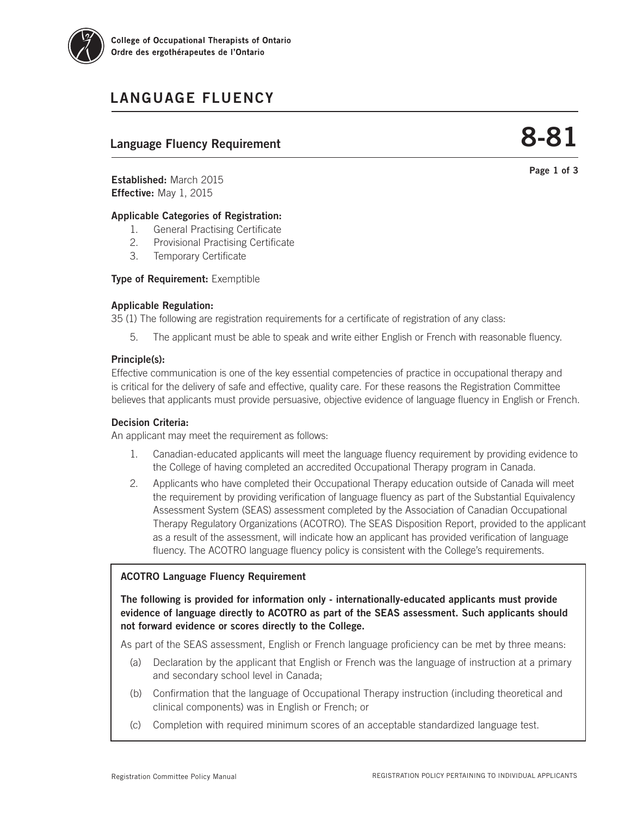

# LANGUAGE FLUENCY

## Language Fluency Requirement

8-81

Page 1 of 3

Established: March 2015 Effective: May 1, 2015

## Applicable Categories of Registration:

- 1. General Practising Certificate
- 2. Provisional Practising Certificate
- 3. Temporary Certificate

**Type of Requirement: Exemptible** 

## Applicable Regulation:

35 (1) The following are registration requirements for a certificate of registration of any class:

5. The applicant must be able to speak and write either English or French with reasonable fluency.

## Principle(s):

Effective communication is one of the key essential competencies of practice in occupational therapy and is critical for the delivery of safe and effective, quality care. For these reasons the Registration Committee believes that applicants must provide persuasive, objective evidence of language fluency in English or French.

## Decision Criteria:

An applicant may meet the requirement as follows:

- 1. Canadian-educated applicants will meet the language fluency requirement by providing evidence to the College of having completed an accredited Occupational Therapy program in Canada.
- 2. Applicants who have completed their Occupational Therapy education outside of Canada will meet the requirement by providing verification of language fluency as part of the Substantial Equivalency Assessment System (SEAS) assessment completed by the Association of Canadian Occupational Therapy Regulatory Organizations (ACOTRO). The SEAS Disposition Report, provided to the applicant as a result of the assessment, will indicate how an applicant has provided verification of language fluency. The ACOTRO language fluency policy is consistent with the College's requirements.

## ACOTRO Language Fluency Requirement

The following is provided for information only - internationally-educated applicants must provide evidence of language directly to ACOTRO as part of the SEAS assessment. Such applicants should not forward evidence or scores directly to the College.

As part of the SEAS assessment, English or French language proficiency can be met by three means:

- (a) Declaration by the applicant that English or French was the language of instruction at a primary and secondary school level in Canada;
- (b) Confirmation that the language of Occupational Therapy instruction (including theoretical and clinical components) was in English or French; or
- (c) Completion with required minimum scores of an acceptable standardized language test.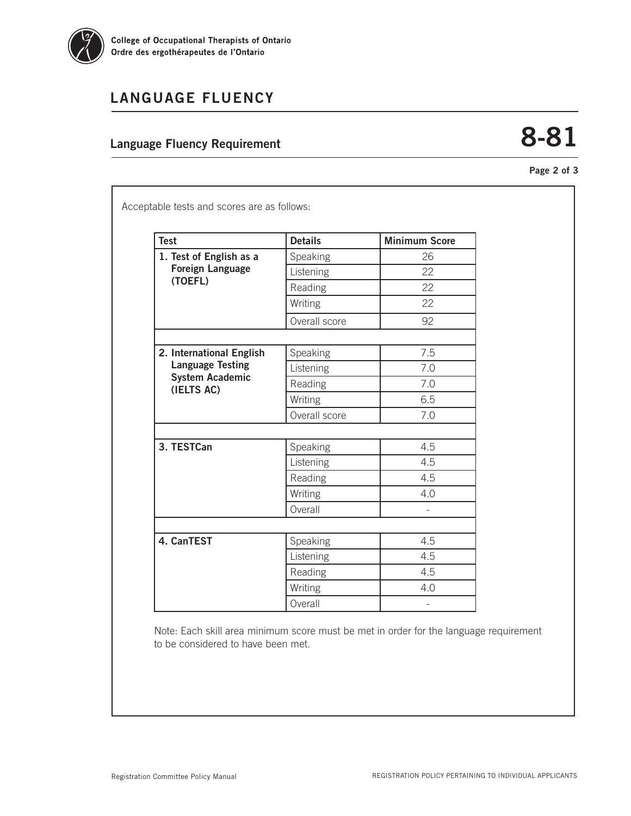

# LANGUAGE FLUENCY

## Language Fluency Requirement

# 8-81

Page 2 of 3

| <b>Test</b>                                                                                 | <b>Details</b> | <b>Minimum Score</b> |
|---------------------------------------------------------------------------------------------|----------------|----------------------|
| 1. Test of English as a<br><b>Foreign Language</b><br>(TOEFL)                               | Speaking       | 26                   |
|                                                                                             | Listening      | 22                   |
|                                                                                             | Reading        | 22                   |
|                                                                                             | Writing        | 22                   |
|                                                                                             | Overall score  | 92                   |
|                                                                                             |                |                      |
| 2. International English<br><b>Language Testing</b><br><b>System Academic</b><br>(IELTS AC) | Speaking       | 7.5                  |
|                                                                                             | Listening      | 7.0                  |
|                                                                                             | Reading        | 7.0                  |
|                                                                                             | Writing        | 6.5                  |
|                                                                                             | Overall score  | 7.0                  |
|                                                                                             |                |                      |
| 3. TESTCan                                                                                  | Speaking       | 4.5                  |
|                                                                                             | Listening      | 4.5                  |
|                                                                                             | Reading        | 4.5                  |
|                                                                                             | Writing        | 4.0                  |
|                                                                                             | Overall        |                      |
|                                                                                             |                |                      |
| 4. CanTEST                                                                                  | Speaking       | 4.5                  |
|                                                                                             | Listening      | 4.5                  |
|                                                                                             | Reading        | 4.5                  |
|                                                                                             | Writing        | 4.0                  |
|                                                                                             | Overall        |                      |

Note: Each skill area minimum score must be met in order for the language requirement to be considered to have been met.